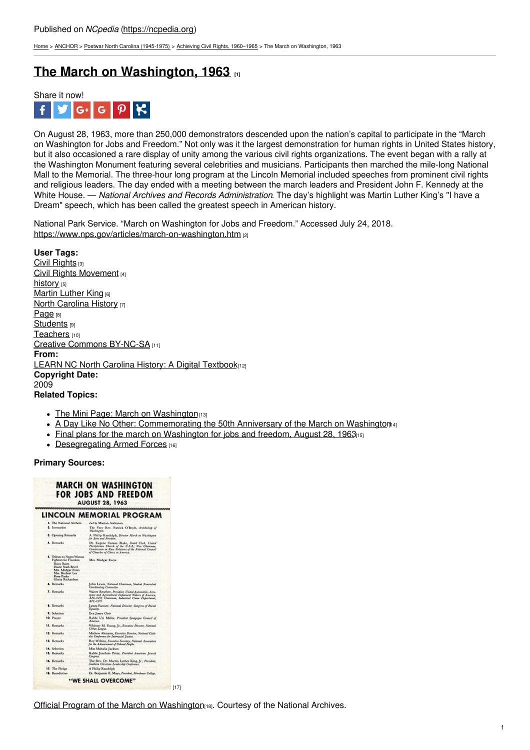[Home](https://ncpedia.org/) > [ANCHOR](https://ncpedia.org/anchor/anchor) > Postwar North Carolina [\(1945-1975\)](https://ncpedia.org/anchor/postwar-north-carolina-1945) > Achieving Civil Rights, [1960–1965](https://ncpedia.org/anchor/achieving-civil-rights-1960) > The March on Washington, 1963

# **The March on [Washington,](https://ncpedia.org/anchor/march-washington-1963) 1963 [1]**



On August 28, 1963, more than 250,000 demonstrators descended upon the nation's capital to participate in the "March on Washington for Jobs and Freedom." Not only was it the largest demonstration for human rights in United States history, but it also occasioned a rare display of unity among the various civil rights organizations. The event began with a rally at the Washington Monument featuring several celebrities and musicians. Participants then marched the mile-long National Mall to the Memorial. The three-hour long program at the Lincoln Memorial included speeches from prominent civil rights and religious leaders. The day ended with a meeting between the march leaders and President John F. Kennedy at the White House. — *National Archives and Records Administration*. The day's highlight was Martin Luther King's "I have a Dream" speech, which has been called the greatest speech in American history.

National Park Service. "March on Washington for Jobs and Freedom." Accessed July 24, 2018. [https://www.nps.gov/articles/march-](https://www.nps.gov/articles/march-on-washington.htm)[on-washington.htm](http://www.social9.com) [2]

## **User Tags:**

Civil [Rights](https://ncpedia.org/category/user-tags/civil-rights) [3] Civil Rights [Movement](https://ncpedia.org/category/user-tags/civil-rights-0) [4] [history](https://ncpedia.org/category/user-tags/history) [5] **Martin [Luther](https://ncpedia.org/category/user-tags/martin-luther-1) King [6] North [Carolina](https://ncpedia.org/category/user-tags/north-carolina-6) History [7]** [Page](https://ncpedia.org/category/user-tags/page) [8] [Students](https://ncpedia.org/category/user-tags/students) [9] [Teachers](https://ncpedia.org/category/user-tags/teachers) [10] Creative Commons [BY-NC-SA](https://ncpedia.org/category/user-tags/creative-commons) [11] **From:** LEARN NC North Carolina History: A Digital [Textbook](https://ncpedia.org/category/entry-source/learn-nc)[12] **Copyright Date:** 2009 **Related Topics:**

- The Mini Page: March on [Washington](https://dc.lib.unc.edu/cgi-bin/showfile.exe?CISOROOT=/minipage&CISOPTR=16064&CISOMODE=print) [13]
- A Day Like No Other: [Commemorating](https://www.loc.gov/exhibits/march-on-washington/index.html) the 50th Anniversary of the March on Washington<sub>[4]</sub>
- Final plans for the march on [Washington](https://www.loc.gov/resource/ppmsca.37470/?st=gallery) for jobs and freedom, August 28, 1963<sup>15]</sup>
- [Desegregating](https://www.ncpedia.org/anchor/desegregating-armed-forces) Armed Forces [16]

## **Primary Sources:**

### **MARCH ON WASHINGTON FOR JOBS AND FREEDOM AUGUST 28, 1963** LINCOLN MEMORIAL PROGRAM

| 1. The National Anthem.                                                                                                                                           | Lef by Marian Anderson.                                                                                                                                                                     |
|-------------------------------------------------------------------------------------------------------------------------------------------------------------------|---------------------------------------------------------------------------------------------------------------------------------------------------------------------------------------------|
| 2. Invocation.                                                                                                                                                    | The Very Rev. Patrick O'Boyle, Authlolop of<br><b>Hashington</b>                                                                                                                            |
| 3. Opening Remarks                                                                                                                                                | A. Philip Randolph, Director March on Washington<br>for John and Foundary.                                                                                                                  |
| 4. Remarks                                                                                                                                                        | Dr. Eugene Carson Blake, Stated Clot, United<br>Positionas Charch of the U.S.A.; You Chairman,<br>Commission on Race Relations of the National Council<br>of Charches of Christ in America. |
| 5. Tribute to Negro Women<br>Fighters for Freedom<br>Daley Bates<br>Diane Nash Bevel<br>Mrs. Medear Even.<br>Mrs. Horbert Lee<br>Rosa Parks<br>Gloria Richardson. | Mrs. Medgar Evers                                                                                                                                                                           |
| 4. Remarks                                                                                                                                                        | John Lewis, National Chairman, Student Nonviolent<br>Coordinating Committee.                                                                                                                |
| 7. Remarks                                                                                                                                                        | Walter Reuther, President, United Automobile, Acro-<br>space and Agricultural Implement Walers of America.<br>AFL-CIO: Chairman, Industrial Union Department,<br>AFL-CIO.                   |
| <b>1.</b> Remarks                                                                                                                                                 | James Farmer, National Director, Congress of Racial<br>Louisia.                                                                                                                             |
| 9. Selection                                                                                                                                                      | Eva Jennye Chair                                                                                                                                                                            |
| 10. Prayer                                                                                                                                                        | Rabbi Uri Miller, President Synapseur Council of<br><b>Reservice</b>                                                                                                                        |
| 11. Remarks                                                                                                                                                       | Whitney M. Young, Jr., Executive Director, National.<br><b>Crown League</b>                                                                                                                 |
| 12. Remarks                                                                                                                                                       | Mathew Ahmann, Eventise Disator, National Cath-<br>olse Conference for Internacial Justice.                                                                                                 |
| 12. Remarks                                                                                                                                                       | Roy Wilkins, Executive Secretary, National Association<br>for the Advancement of Colored Forgie.                                                                                            |
| 14. Selection                                                                                                                                                     | Miss Mahalia Iackson                                                                                                                                                                        |
| 15. Remarks                                                                                                                                                       | Rabbi Jeachim Prinz, Posident American Jewish<br><b>Congress</b>                                                                                                                            |
| 16. Remarks                                                                                                                                                       | The Rev. Dr. Martin Luther King, Jr., President,<br>Southern Christian Leadership Conference.                                                                                               |
| 17. The Piedge                                                                                                                                                    | A Philip Randolph                                                                                                                                                                           |
| 18. Benediction                                                                                                                                                   | Dr. Benjamin E. Maya, President, Mondowe College,                                                                                                                                           |
|                                                                                                                                                                   | "WE SHALL OVERCOME"                                                                                                                                                                         |
|                                                                                                                                                                   |                                                                                                                                                                                             |

 $[17]$ 

Official Program of the March on [Washington](https://www.archives.gov/milestone-documents/official-program-for-the-march-on-washington)[18]. Courtesy of the National Archives.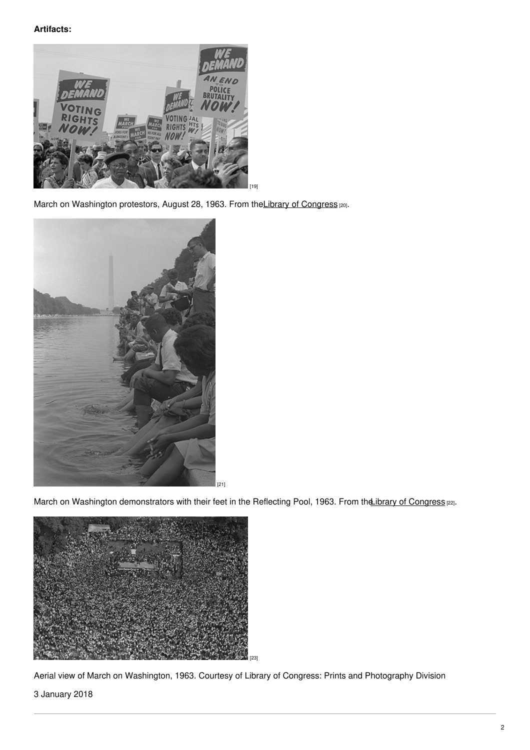# **Artifacts:**



March on Washington protestors, August 28, 1963. From the Library of [Congress](https://www.loc.gov/resource/ppmsca.37229/) [20].



March on Washington demonstrators with their feet in the Reflecting Pool, 1963. From the ibrary of [Congress](https://www.loc.gov/resource/ds.00834/) [22].



Aerial view of March on Washington, 1963. Courtesy of Library of Congress: Prints and Photography Division

# 3 January 2018